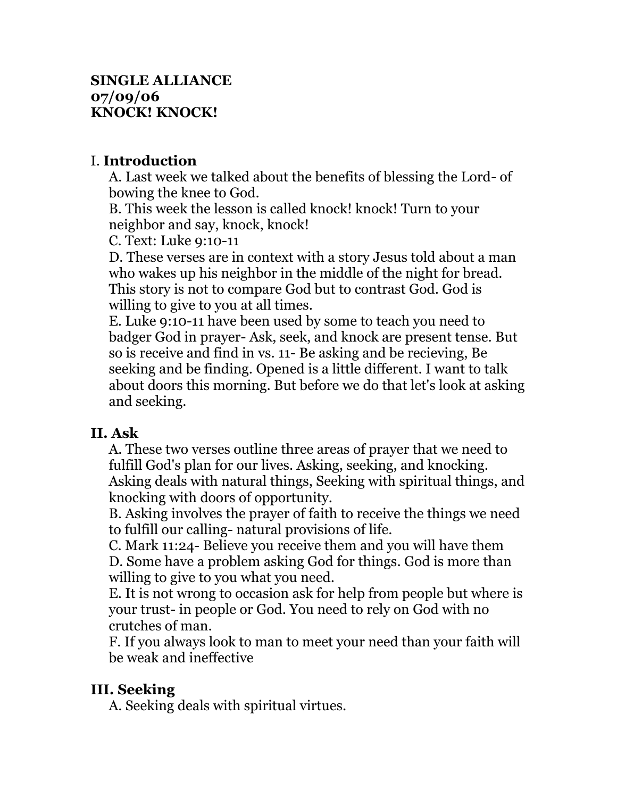#### **SINGLE ALLIANCE 07/09/06 KNOCK! KNOCK!**

### I. **Introduction**

A. Last week we talked about the benefits of blessing the Lord- of bowing the knee to God.

B. This week the lesson is called knock! knock! Turn to your neighbor and say, knock, knock!

C. Text: Luke 9:10-11

D. These verses are in context with a story Jesus told about a man who wakes up his neighbor in the middle of the night for bread. This story is not to compare God but to contrast God. God is willing to give to you at all times.

E. Luke 9:10-11 have been used by some to teach you need to badger God in prayer- Ask, seek, and knock are present tense. But so is receive and find in vs. 11- Be asking and be recieving, Be seeking and be finding. Opened is a little different. I want to talk about doors this morning. But before we do that let's look at asking and seeking.

#### **II. Ask**

A. These two verses outline three areas of prayer that we need to fulfill God's plan for our lives. Asking, seeking, and knocking. Asking deals with natural things, Seeking with spiritual things, and knocking with doors of opportunity.

B. Asking involves the prayer of faith to receive the things we need to fulfill our calling- natural provisions of life.

C. Mark 11:24- Believe you receive them and you will have them D. Some have a problem asking God for things. God is more than willing to give to you what you need.

E. It is not wrong to occasion ask for help from people but where is your trust- in people or God. You need to rely on God with no crutches of man.

F. If you always look to man to meet your need than your faith will be weak and ineffective

# **III. Seeking**

A. Seeking deals with spiritual virtues.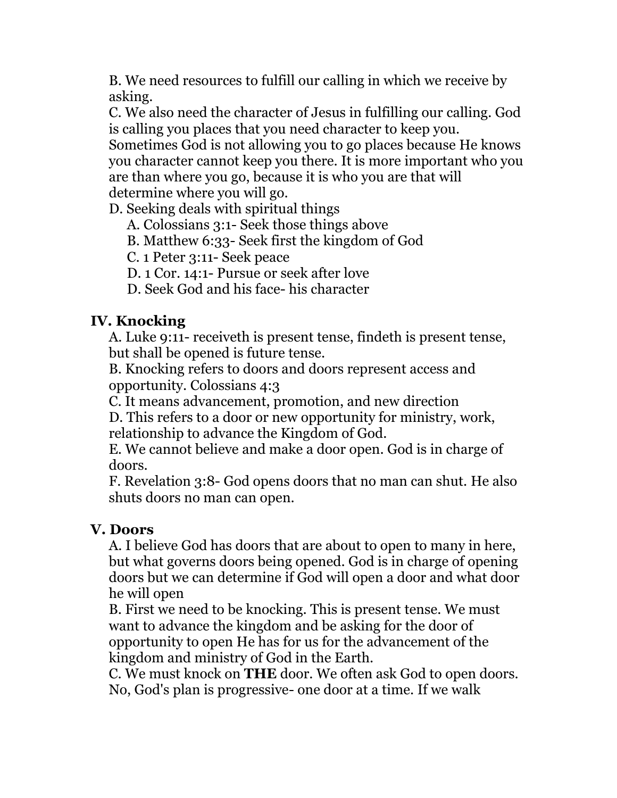B. We need resources to fulfill our calling in which we receive by asking.

C. We also need the character of Jesus in fulfilling our calling. God is calling you places that you need character to keep you.

Sometimes God is not allowing you to go places because He knows you character cannot keep you there. It is more important who you are than where you go, because it is who you are that will determine where you will go.

D. Seeking deals with spiritual things

A. Colossians 3:1- Seek those things above

B. Matthew 6:33- Seek first the kingdom of God

C. 1 Peter 3:11- Seek peace

D. 1 Cor. 14:1- Pursue or seek after love

D. Seek God and his face- his character

## **IV. Knocking**

A. Luke 9:11- receiveth is present tense, findeth is present tense, but shall be opened is future tense.

B. Knocking refers to doors and doors represent access and opportunity. Colossians 4:3

C. It means advancement, promotion, and new direction

D. This refers to a door or new opportunity for ministry, work, relationship to advance the Kingdom of God.

E. We cannot believe and make a door open. God is in charge of doors.

F. Revelation 3:8- God opens doors that no man can shut. He also shuts doors no man can open.

# **V. Doors**

A. I believe God has doors that are about to open to many in here, but what governs doors being opened. God is in charge of opening doors but we can determine if God will open a door and what door he will open

B. First we need to be knocking. This is present tense. We must want to advance the kingdom and be asking for the door of opportunity to open He has for us for the advancement of the kingdom and ministry of God in the Earth.

C. We must knock on **THE** door. We often ask God to open doors. No, God's plan is progressive- one door at a time. If we walk